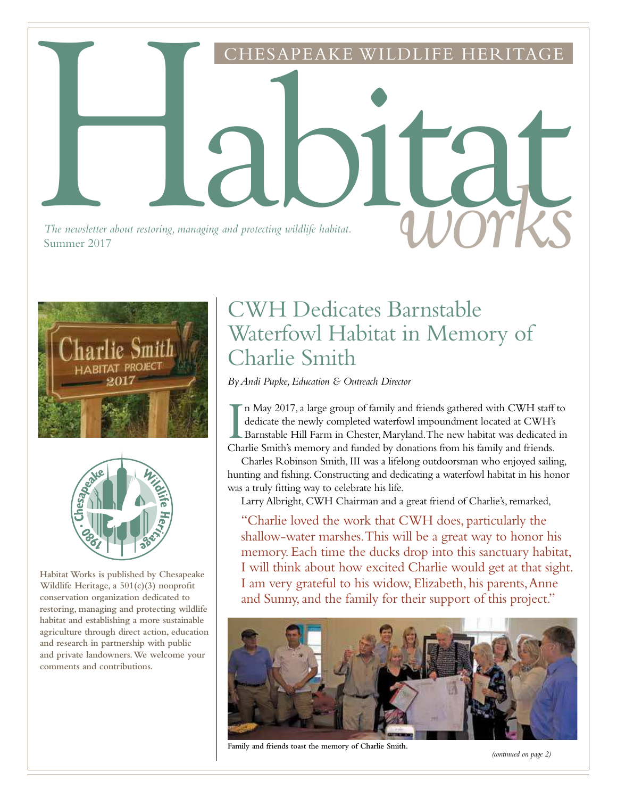*The newsletter about restoring, managing and protecting wildlife habitat.*<br>Summer 2017 Summer 2017





**Habitat Works is published by Chesapeake Wildlife Heritage, a 501(c)(3) nonprofit conservation organization dedicated to restoring, managing and protecting wildlife habitat and establishing a more sustainable agriculture through direct action, education and research in partnership with public and private landowners. We welcome your comments and contributions.**

# CWH Dedicates Barnstable Waterfowl Habitat in Memory of Charlie Smith

ESAPEAKE WILDLIFE HERITAGE

*By Andi Pupke, Education & Outreach Director*

Habitat

In May 2017, a large group of family and friends gathered with CWH staff dedicate the newly completed waterfowl impoundment located at CWH's Barnstable Hill Farm in Chester, Maryland. The new habitat was dedicated Charlie n May 2017, a large group of family and friends gathered with CWH staff to dedicate the newly completed waterfowl impoundment located at CWH's Barnstable Hill Farm in Chester, Maryland. The new habitat was dedicated in

Charles Robinson Smith, III was a lifelong outdoorsman who enjoyed sailing, hunting and fishing. Constructing and dedicating a waterfowl habitat in his honor was a truly fitting way to celebrate his life.

Larry Albright, CWH Chairman and a great friend of Charlie's, remarked,

"Charlie loved the work that CWH does, particularly the shallow-water marshes. This will be a great way to honor his memory. Each time the ducks drop into this sanctuary habitat, I will think about how excited Charlie would get at that sight. I am very grateful to his widow, Elizabeth, his parents, Anne and Sunny, and the family for their support of this project."



**Family and friends toast the memory of Charlie Smith.**

*(continued on page 2)*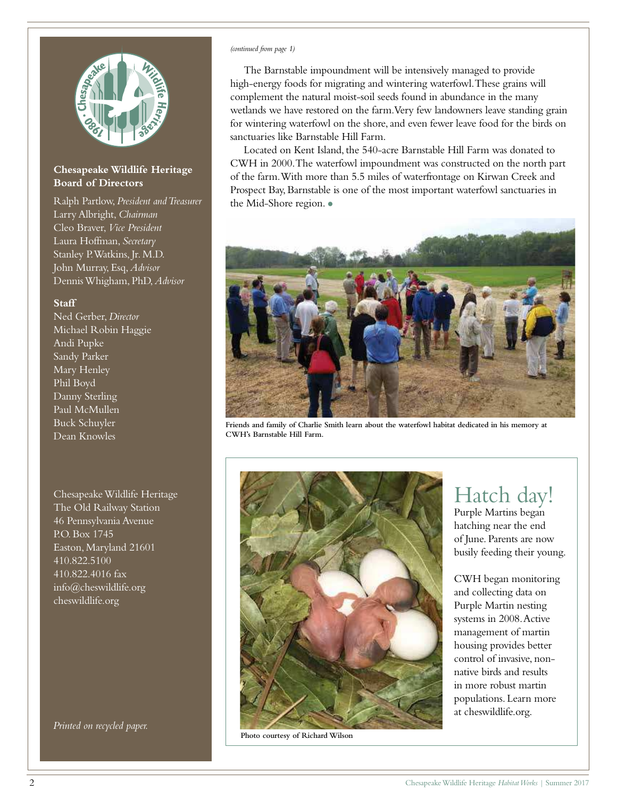

### **Chesapeake Wildlife Heritage Board of Directors**

Ralph Partlow, *President and Treasurer* Larry Albright, *Chairman* Cleo Braver, *Vice President* Laura Hoffman, *Secretary* Stanley P. Watkins, Jr. M.D. John Murray, Esq, *Advisor* Dennis Whigham, PhD, *Advisor*

#### **Staff**

Ned Gerber, *Director* Michael Robin Haggie Andi Pupke Sandy Parker Mary Henley Phil Boyd Danny Sterling Paul McMullen Buck Schuyler Dean Knowles

Chesapeake Wildlife Heritage The Old Railway Station 46 Pennsylvania Avenue P.O. Box 1745 Easton, Maryland 21601 410.822.5100 410.822.4016 fax info@cheswildlife.org cheswildlife.org

*Printed on recycled paper.*

#### *(continued from page 1)*

The Barnstable impoundment will be intensively managed to provide high-energy foods for migrating and wintering waterfowl. These grains will complement the natural moist-soil seeds found in abundance in the many wetlands we have restored on the farm. Very few landowners leave standing grain for wintering waterfowl on the shore, and even fewer leave food for the birds on sanctuaries like Barnstable Hill Farm.

Located on Kent Island, the 540-acre Barnstable Hill Farm was donated to CWH in 2000. The waterfowl impoundment was constructed on the north part of the farm. With more than 5.5 miles of waterfrontage on Kirwan Creek and Prospect Bay, Barnstable is one of the most important waterfowl sanctuaries in the Mid-Shore region. •



**Friends and family of Charlie Smith learn about the waterfowl habitat dedicated in his memory at CWH's Barnstable Hill Farm.**



**Photo courtesy of Richard Wilson**

Hatch day! Purple Martins began

hatching near the end of June. Parents are now busily feeding their young.

CWH began monitoring and collecting data on Purple Martin nesting systems in 2008. Active management of martin housing provides better control of invasive, nonnative birds and results in more robust martin populations. Learn more at cheswildlife.org.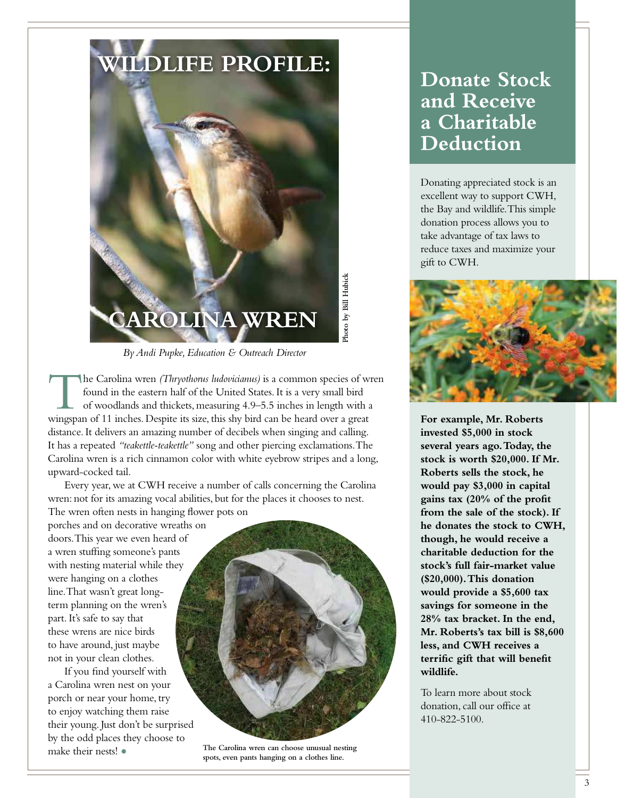

*By Andi Pupke, Education & Outreach Director*

The Carolina wren (Thryothorus ludovicianus) is a common species of with found in the eastern half of the United States. It is a very small bird of woodlands and thickets, measuring 4.9–5.5 inches in length with a wingspan he Carolina wren *(Thryothorus ludovicianus)* is a common species of wren found in the eastern half of the United States. It is a very small bird of woodlands and thickets, measuring 4.9–5.5 inches in length with a distance. It delivers an amazing number of decibels when singing and calling. It has a repeated *"teakettle-teakettle"* song and other piercing exclamations. The Carolina wren is a rich cinnamon color with white eyebrow stripes and a long, upward-cocked tail.

 Every year, we at CWH receive a number of calls concerning the Carolina wren: not for its amazing vocal abilities, but for the places it chooses to nest. The wren often nests in hanging flower pots on

porches and on decorative wreaths on doors. This year we even heard of a wren stuffing someone's pants with nesting material while they were hanging on a clothes line. That wasn't great longterm planning on the wren's part. It's safe to say that these wrens are nice birds to have around, just maybe not in your clean clothes.

 If you find yourself with a Carolina wren nest on your porch or near your home, try to enjoy watching them raise their young. Just don't be surprised by the odd places they choose to make their nests! •



**The Carolina wren can choose unusual nesting spots, even pants hanging on a clothes line.**

## **Donate Stock and Receive a Charitable Deduction**

Donating appreciated stock is an excellent way to support CWH, the Bay and wildlife. This simple donation process allows you to take advantage of tax laws to reduce taxes and maximize your gift to CWH.



**For example, Mr. Roberts invested \$5,000 in stock several years ago. Today, the stock is worth \$20,000. If Mr. Roberts sells the stock, he would pay \$3,000 in capital gains tax (20% of the profit from the sale of the stock). If he donates the stock to CWH, though, he would receive a charitable deduction for the stock's full fair-market value (\$20,000). This donation would provide a \$5,600 tax savings for someone in the 28% tax bracket. In the end, Mr. Roberts's tax bill is \$8,600 less, and CWH receives a terrific gift that will benefit wildlife.**

To learn more about stock donation, call our office at 410-822-5100.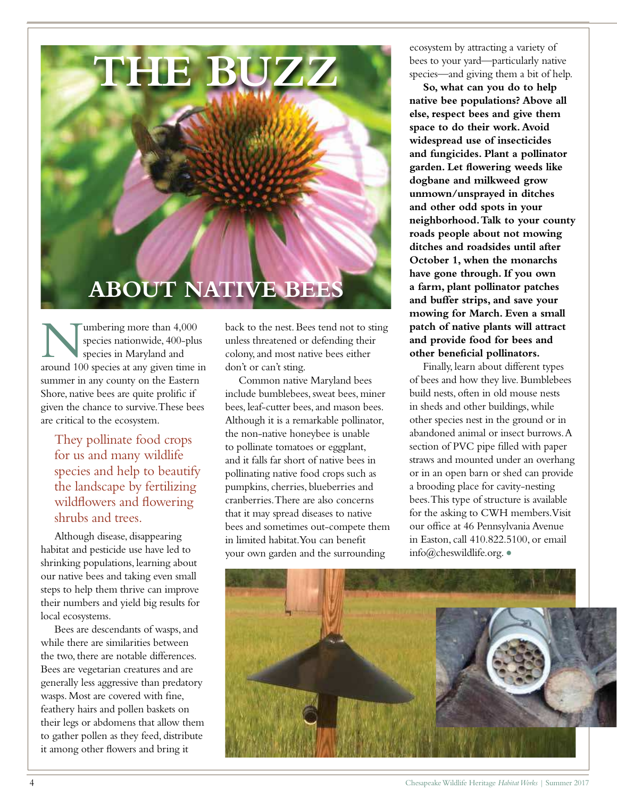

Implering more than 4,000 species nationwide, 400-plus species in Maryland and around 100 species at any given time in umbering more than 4,000 species nationwide, 400-plus species in Maryland and summer in any county on the Eastern Shore, native bees are quite prolific if given the chance to survive. These bees are critical to the ecosystem.

They pollinate food crops for us and many wildlife species and help to beautify the landscape by fertilizing wildflowers and flowering shrubs and trees.

Although disease, disappearing habitat and pesticide use have led to shrinking populations, learning about our native bees and taking even small steps to help them thrive can improve their numbers and yield big results for local ecosystems.

Bees are descendants of wasps, and while there are similarities between the two, there are notable differences. Bees are vegetarian creatures and are generally less aggressive than predatory wasps. Most are covered with fine, feathery hairs and pollen baskets on their legs or abdomens that allow them to gather pollen as they feed, distribute it among other flowers and bring it

back to the nest. Bees tend not to sting unless threatened or defending their colony, and most native bees either don't or can't sting.

Common native Maryland bees include bumblebees, sweat bees, miner bees, leaf-cutter bees, and mason bees. Although it is a remarkable pollinator, the non-native honeybee is unable to pollinate tomatoes or eggplant, and it falls far short of native bees in pollinating native food crops such as pumpkins, cherries, blueberries and cranberries. There are also concerns that it may spread diseases to native bees and sometimes out-compete them in limited habitat. You can benefit your own garden and the surrounding

ecosystem by attracting a variety of bees to your yard—particularly native species—and giving them a bit of help.

**So, what can you do to help native bee populations? Above all else, respect bees and give them space to do their work. Avoid widespread use of insecticides and fungicides. Plant a pollinator garden. Let flowering weeds like dogbane and milkweed grow unmown/unsprayed in ditches and other odd spots in your neighborhood. Talk to your county roads people about not mowing ditches and roadsides until after October 1, when the monarchs have gone through. If you own a farm, plant pollinator patches and buffer strips, and save your mowing for March. Even a small patch of native plants will attract and provide food for bees and other beneficial pollinators.** 

Finally, learn about different types of bees and how they live. Bumblebees build nests, often in old mouse nests in sheds and other buildings, while other species nest in the ground or in abandoned animal or insect burrows. A section of PVC pipe filled with paper straws and mounted under an overhang or in an open barn or shed can provide a brooding place for cavity-nesting bees. This type of structure is available for the asking to CWH members. Visit our office at 46 Pennsylvania Avenue in Easton, call 410.822.5100, or email info@cheswildlife.org.•

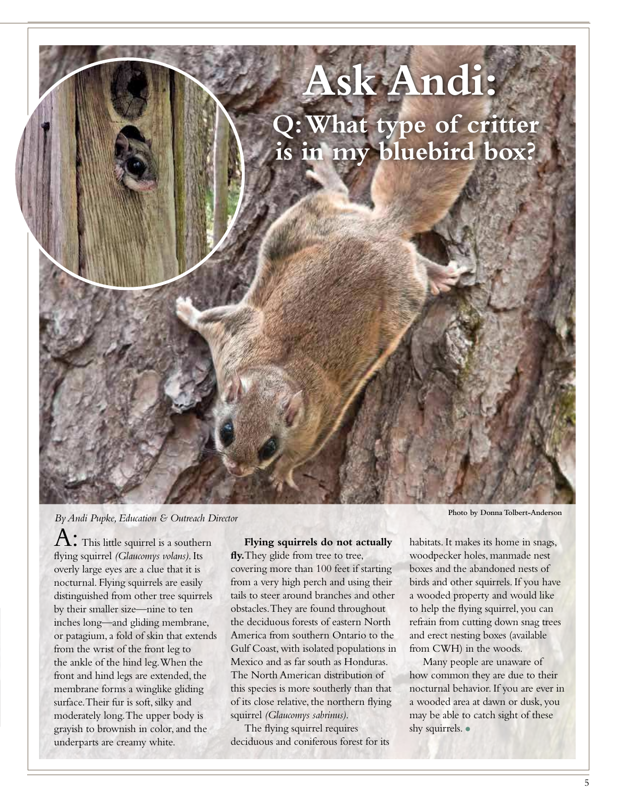

## *By Andi Pupke, Education & Outreach Director* **Photo** *Photo by Donna Tolbert-Anderson*

 $\Lambda:$  This little squirrel is a southern flying squirrel *(Glaucomys volans)*. Its overly large eyes are a clue that it is nocturnal. Flying squirrels are easily distinguished from other tree squirrels by their smaller size—nine to ten inches long—and gliding membrane, or patagium, a fold of skin that extends from the wrist of the front leg to the ankle of the hind leg. When the front and hind legs are extended, the membrane forms a winglike gliding surface. Their fur is soft, silky and moderately long. The upper body is grayish to brownish in color, and the underparts are creamy white.

## **Flying squirrels do not actually fly.**They glide from tree to tree,

covering more than 100 feet if starting from a very high perch and using their tails to steer around branches and other obstacles. They are found throughout the deciduous forests of eastern North America from southern Ontario to the Gulf Coast, with isolated populations in Mexico and as far south as Honduras. The North American distribution of this species is more southerly than that of its close relative, the northern flying squirrel *(Glaucomys sabrinus)*.

The flying squirrel requires deciduous and coniferous forest for its

habitats. It makes its home in snags, woodpecker holes, manmade nest boxes and the abandoned nests of birds and other squirrels. If you have a wooded property and would like to help the flying squirrel, you can refrain from cutting down snag trees and erect nesting boxes (available from CWH) in the woods.

Many people are unaware of how common they are due to their nocturnal behavior. If you are ever in a wooded area at dawn or dusk, you may be able to catch sight of these shy squirrels. •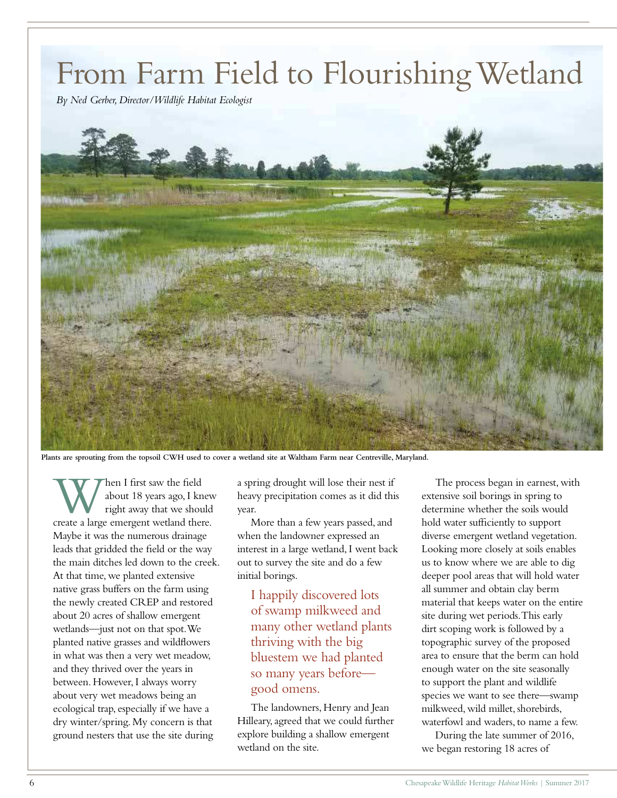# From Farm Field to Flourishing Wetland

*By Ned Gerber, Director/Wildlife Habitat Ecologist*



**Plants are sprouting from the topsoil CWH used to cover a wetland site at Waltham Farm near Centreville, Maryland.**

When I first saw the field<br>
about 18 years ago, I knew<br>
create a large emergent wetland there. about 18 years ago, I knew right away that we should Maybe it was the numerous drainage leads that gridded the field or the way the main ditches led down to the creek. At that time, we planted extensive native grass buffers on the farm using the newly created CREP and restored about 20 acres of shallow emergent wetlands—just not on that spot. We planted native grasses and wildflowers in what was then a very wet meadow, and they thrived over the years in between. However, I always worry about very wet meadows being an ecological trap, especially if we have a dry winter/spring. My concern is that ground nesters that use the site during

a spring drought will lose their nest if heavy precipitation comes as it did this year.

More than a few years passed, and when the landowner expressed an interest in a large wetland, I went back out to survey the site and do a few initial borings.

I happily discovered lots of swamp milkweed and many other wetland plants thriving with the big bluestem we had planted so many years before good omens.

The landowners, Henry and Jean Hilleary, agreed that we could further explore building a shallow emergent wetland on the site.

The process began in earnest, with extensive soil borings in spring to determine whether the soils would hold water sufficiently to support diverse emergent wetland vegetation. Looking more closely at soils enables us to know where we are able to dig deeper pool areas that will hold water all summer and obtain clay berm material that keeps water on the entire site during wet periods. This early dirt scoping work is followed by a topographic survey of the proposed area to ensure that the berm can hold enough water on the site seasonally to support the plant and wildlife species we want to see there—swamp milkweed, wild millet, shorebirds, waterfowl and waders, to name a few.

During the late summer of 2016, we began restoring 18 acres of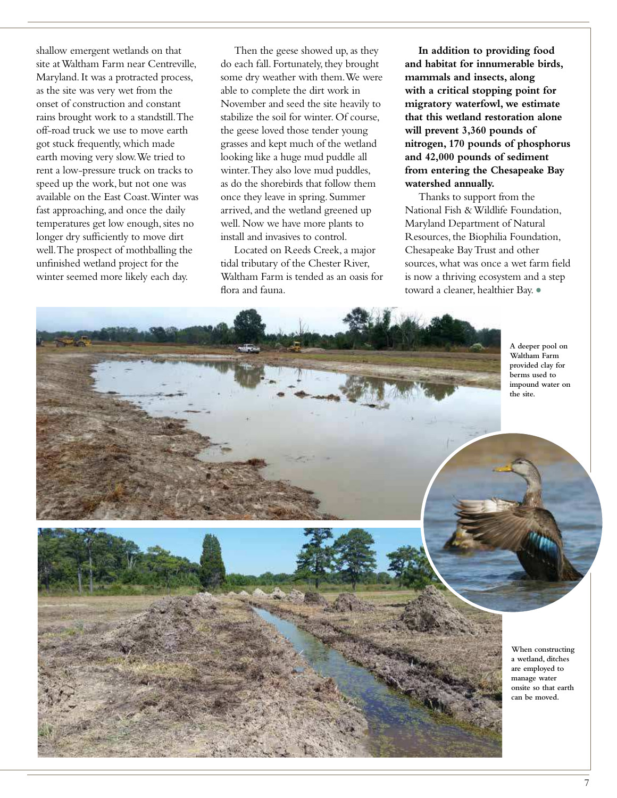shallow emergent wetlands on that site at Waltham Farm near Centreville, Maryland. It was a protracted process, as the site was very wet from the onset of construction and constant rains brought work to a standstill. The off-road truck we use to move earth got stuck frequently, which made earth moving very slow. We tried to rent a low-pressure truck on tracks to speed up the work, but not one was available on the East Coast. Winter was fast approaching, and once the daily temperatures get low enough, sites no longer dry sufficiently to move dirt well. The prospect of mothballing the unfinished wetland project for the winter seemed more likely each day.

Then the geese showed up, as they do each fall. Fortunately, they brought some dry weather with them. We were able to complete the dirt work in November and seed the site heavily to stabilize the soil for winter. Of course, the geese loved those tender young grasses and kept much of the wetland looking like a huge mud puddle all winter. They also love mud puddles, as do the shorebirds that follow them once they leave in spring. Summer arrived, and the wetland greened up well. Now we have more plants to install and invasives to control.

Located on Reeds Creek, a major tidal tributary of the Chester River, Waltham Farm is tended as an oasis for flora and fauna.

**In addition to providing food and habitat for innumerable birds, mammals and insects, along with a critical stopping point for migratory waterfowl, we estimate that this wetland restoration alone will prevent 3,360 pounds of nitrogen, 170 pounds of phosphorus and 42,000 pounds of sediment from entering the Chesapeake Bay watershed annually.** 

Thanks to support from the National Fish & Wildlife Foundation, Maryland Department of Natural Resources, the Biophilia Foundation, Chesapeake Bay Trust and other sources, what was once a wet farm field is now a thriving ecosystem and a step toward a cleaner, healthier Bay. •

**A deeper pool on Waltham Farm provided clay for**